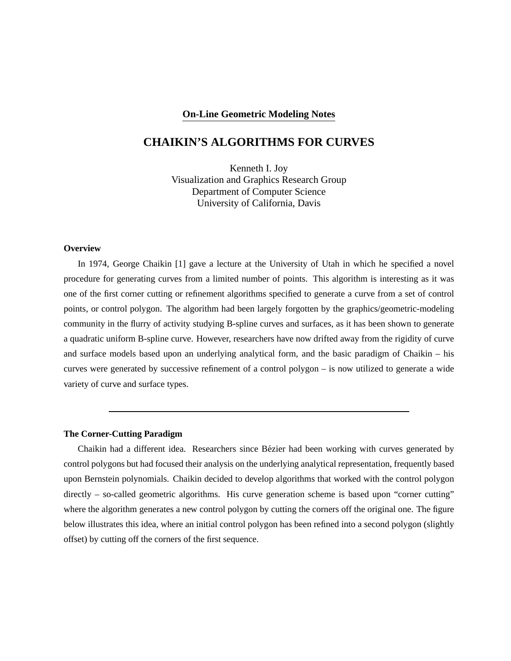### **On-Line Geometric Modeling Notes**

# **CHAIKIN'S ALGORITHMS FOR CURVES**

Kenneth I. Joy Visualization and Graphics Research Group Department of Computer Science University of California, Davis

#### **Overview**

In 1974, George Chaikin [1] gave a lecture at the University of Utah in which he specified a novel procedure for generating curves from a limited number of points. This algorithm is interesting as it was one of the first corner cutting or refinement algorithms specified to generate a curve from a set of control points, or control polygon. The algorithm had been largely forgotten by the graphics/geometric-modeling community in the flurry of activity studying B-spline curves and surfaces, as it has been shown to generate a quadratic uniform B-spline curve. However, researchers have now drifted away from the rigidity of curve and surface models based upon an underlying analytical form, and the basic paradigm of Chaikin – his curves were generated by successive refinement of a control polygon – is now utilized to generate a wide variety of curve and surface types.

### **The Corner-Cutting Paradigm**

Chaikin had a different idea. Researchers since Bezier had been working with curves generated by ´ control polygons but had focused their analysis on the underlying analytical representation, frequently based upon Bernstein polynomials. Chaikin decided to develop algorithms that worked with the control polygon directly – so-called geometric algorithms. His curve generation scheme is based upon "corner cutting" where the algorithm generates a new control polygon by cutting the corners off the original one. The figure below illustrates this idea, where an initial control polygon has been refined into a second polygon (slightly offset) by cutting off the corners of the first sequence.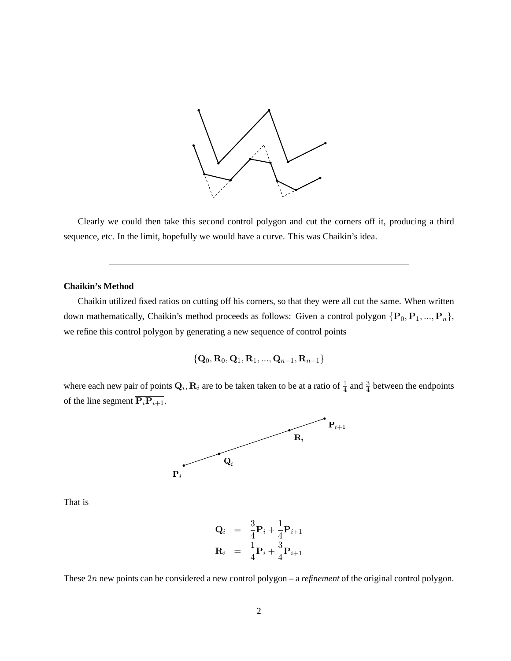

Clearly we could then take this second control polygon and cut the corners off it, producing a third sequence, etc. In the limit, hopefully we would have a curve. This was Chaikin's idea.

#### **Chaikin's Method**

Chaikin utilized fixed ratios on cutting off his corners, so that they were all cut the same. When written down mathematically, Chaikin's method proceeds as follows: Given a control polygon  $\{P_0, P_1, ..., P_n\}$ , we refine this control polygon by generating a new sequence of control points

$$
\{{\bf Q}_0,{\bf R}_0,{\bf Q}_1,{\bf R}_1,...,{\bf Q}_{n-1},{\bf R}_{n-1}\}
$$

where each new pair of points  $Q_i$ ,  $R_i$  are to be taken taken to be at a ratio of  $\frac{1}{4}$  and  $\frac{3}{4}$  between the endpoints of the line segment  $\overline{\mathbf{P}_i \mathbf{P}_{i+1}}$ .



That is

$$
\begin{array}{rcl}\n\mathbf{Q}_i &=& \frac{3}{4}\mathbf{P}_i + \frac{1}{4}\mathbf{P}_{i+1} \\
\mathbf{R}_i &=& \frac{1}{4}\mathbf{P}_i + \frac{3}{4}\mathbf{P}_{i+1}\n\end{array}
$$

These 2n new points can be considered a new control polygon – a *refinement* of the original control polygon.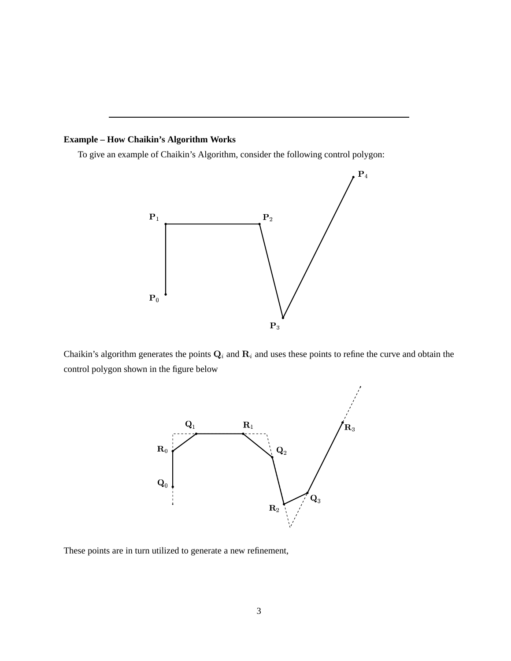## **Example – How Chaikin's Algorithm Works**

To give an example of Chaikin's Algorithm, consider the following control polygon:



Chaikin's algorithm generates the points  $Q_i$  and  $R_i$  and uses these points to refine the curve and obtain the control polygon shown in the figure below



These points are in turn utilized to generate a new refinement,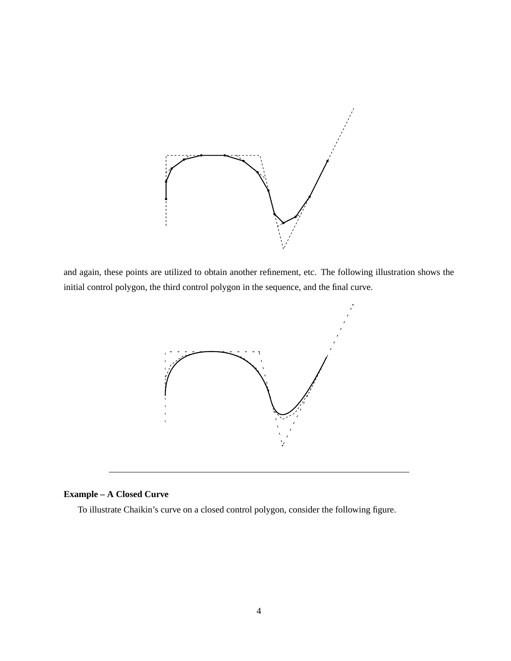

and again, these points are utilized to obtain another refinement, etc. The following illustration shows the initial control polygon, the third control polygon in the sequence, and the final curve.



## **Example – A Closed Curve**

To illustrate Chaikin's curve on a closed control polygon, consider the following figure.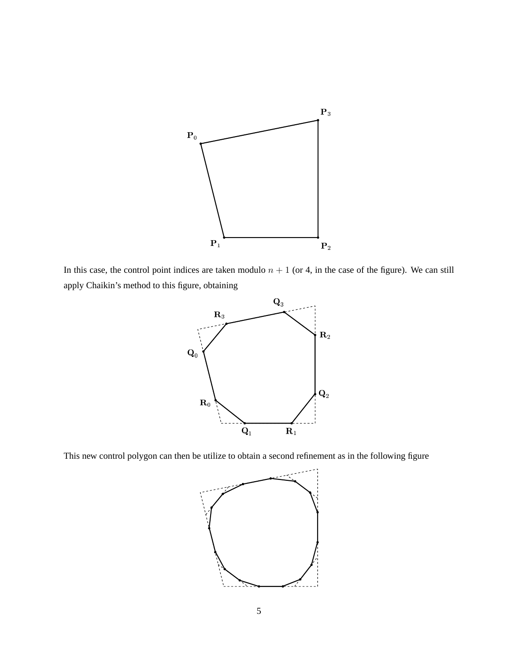

In this case, the control point indices are taken modulo  $n + 1$  (or 4, in the case of the figure). We can still apply Chaikin's method to this figure, obtaining



This new control polygon can then be utilize to obtain a second refinement as in the following figure

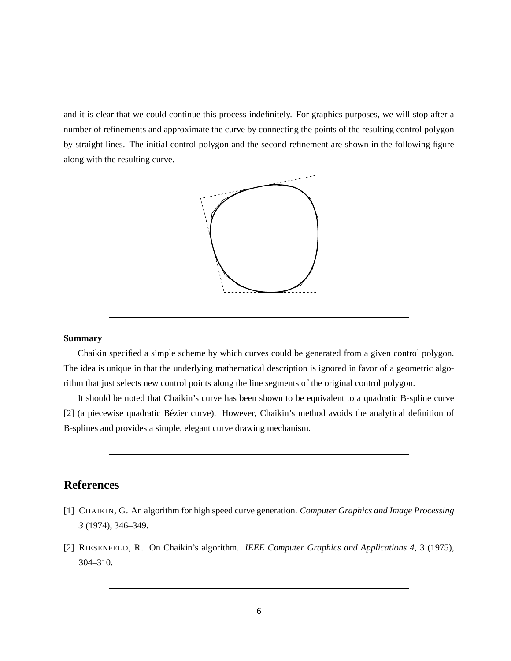and it is clear that we could continue this process indefinitely. For graphics purposes, we will stop after a number of refinements and approximate the curve by connecting the points of the resulting control polygon by straight lines. The initial control polygon and the second refinement are shown in the following figure along with the resulting curve.



### **Summary**

Chaikin specified a simple scheme by which curves could be generated from a given control polygon. The idea is unique in that the underlying mathematical description is ignored in favor of a geometric algorithm that just selects new control points along the line segments of the original control polygon.

It should be noted that Chaikin's curve has been shown to be equivalent to a quadratic B-spline curve [2] (a piecewise quadratic Bézier curve). However, Chaikin's method avoids the analytical definition of B-splines and provides a simple, elegant curve drawing mechanism.

# **References**

- [1] CHAIKIN, G. An algorithm for high speed curve generation. *Computer Graphics and Image Processing 3* (1974), 346–349.
- [2] RIESENFELD, R. On Chaikin's algorithm. *IEEE Computer Graphics and Applications 4*, 3 (1975), 304–310.